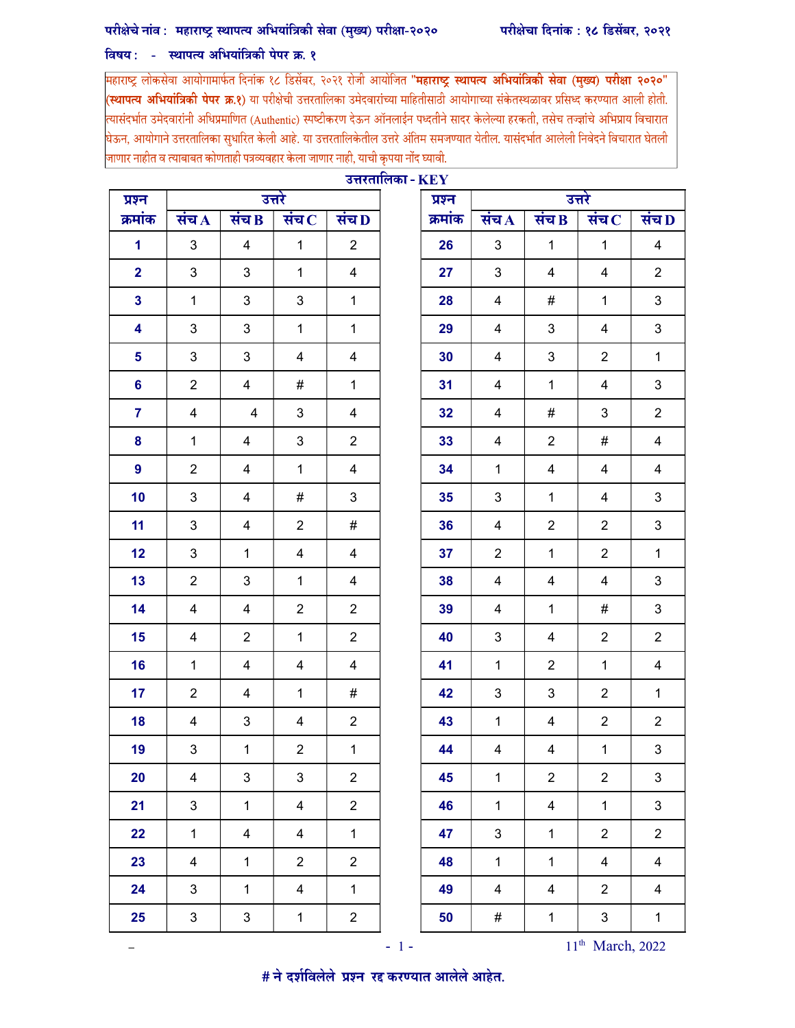## परीक्षेचे नांव: महाराष्ट्र स्थापत्य अभियांत्रिकी सेवा (मुख्य) परीक्षा-२०२०

## विषय: - स्थापत्य अभियांत्रिकी पेपर क्र. १

महाराष्ट्र लोकसेवा आयोगामार्फत दिनांक १८ डिसेंबर, २०२१ रोजी आयोजित "**महाराष्ट्र स्थापत्य अभियांत्रिकी सेवा (मुख्य) परीक्षा २०२०**" (**स्थापत्य अभियांत्रिकी पेपर क्र.१**) या परीक्षेची उत्तरतालिका उमेदवारांच्या माहितीसाठी आयोगाच्या संकेतस्थळावर प्रसिध्द करण्यात आली होती. .<br>त्यासंदर्भात उमेदवारांनी अधिप्रमाणित (Authentic) स्पष्टीकरण देऊन ऑनलाईन पध्दतीने सादर केलेल्या हरकती, तसेच तज्ज्ञांचे अभिप्राय विचारात ।<br>घेऊन, आयोगाने उत्तरतालिका सुधारित केली आहे. या उत्तरतालिकेतील उत्तरे अंतिम समजण्यात येतील. यासंदर्भात आलेली निवेदने विचारात घेतली .<br>जाणार नाहीत व त्याबाबत कोणताही पत्रव्यवहार केला जाणार नाही, याची कृपया नोंद घ्यावी.

| उत्तरतालिका - $\rm KEY$ |                |                         |                             |                |  |         |                           |                    |                             |                         |  |
|-------------------------|----------------|-------------------------|-----------------------------|----------------|--|---------|---------------------------|--------------------|-----------------------------|-------------------------|--|
| प्रश्न                  |                | उत्तरे                  |                             |                |  | प्रश्न  | उत्तरे                    |                    |                             |                         |  |
| क्रमांक                 | संच $\Lambda$  | संच $\bf{B}$            | संच $\overline{\mathbf{C}}$ | संच $\bf{D}$   |  | क्रमांक | संच $\Lambda$             | संच $\overline{B}$ | संच $\overline{\mathbf{C}}$ | संच D                   |  |
| $\mathbf 1$             | 3              | $\overline{\mathbf{4}}$ | $\mathbf{1}$                | $\overline{2}$ |  | 26      | $\mathbf{3}$              | $\mathbf{1}$       | $\mathbf{1}$                | $\overline{4}$          |  |
| $\overline{2}$          | 3              | 3                       | $\mathbf{1}$                | 4              |  | 27      | $\mathbf{3}$              | 4                  | 4                           | $\overline{2}$          |  |
| $\overline{\mathbf{3}}$ | $\mathbf{1}$   | 3                       | 3                           | $\mathbf{1}$   |  | 28      | 4                         | #                  | $\mathbf{1}$                | 3                       |  |
| 4                       | 3              | 3                       | $\mathbf{1}$                | $\mathbf{1}$   |  | 29      | 4                         | 3                  | 4                           | 3                       |  |
| 5                       | 3              | 3                       | 4                           | 4              |  | 30      | 4                         | 3                  | $\overline{2}$              | $\mathbf{1}$            |  |
| $6\phantom{a}$          | $\overline{2}$ | 4                       | $\#$                        | $\mathbf{1}$   |  | 31      | $\overline{4}$            | $\mathbf{1}$       | 4                           | 3                       |  |
| $\overline{7}$          | $\overline{4}$ | $\overline{4}$          | 3                           | 4              |  | 32      | 4                         | #                  | 3                           | $\overline{2}$          |  |
| 8                       | $\mathbf{1}$   | 4                       | 3                           | $\overline{2}$ |  | 33      | 4                         | $\overline{2}$     | #                           | $\overline{4}$          |  |
| $\overline{9}$          | $\overline{2}$ | 4                       | $\mathbf{1}$                | $\overline{4}$ |  | 34      | $\mathbf{1}$              | $\overline{4}$     | 4                           | $\overline{4}$          |  |
| 10                      | 3              | 4                       | #                           | 3              |  | 35      | 3                         | $\mathbf{1}$       | 4                           | 3                       |  |
| 11                      | $\mathfrak{B}$ | 4                       | $\overline{2}$              | $\#$           |  | 36      | $\overline{4}$            | $\overline{2}$     | $\overline{2}$              | 3                       |  |
| 12                      | $\mathfrak{B}$ | 1                       | $\overline{4}$              | 4              |  | 37      | $\overline{2}$            | $\mathbf{1}$       | $\overline{2}$              | $\mathbf{1}$            |  |
| 13                      | $\overline{2}$ | 3                       | $\mathbf{1}$                | 4              |  | 38      | 4                         | 4                  | 4                           | 3                       |  |
| 14                      | 4              | 4                       | $\overline{2}$              | $\overline{2}$ |  | 39      | 4                         | $\mathbf{1}$       | #                           | 3                       |  |
| 15                      | 4              | $\overline{c}$          | $\mathbf{1}$                | $\overline{2}$ |  | 40      | 3                         | 4                  | $\overline{2}$              | $\overline{2}$          |  |
| 16                      | $\mathbf{1}$   | 4                       | $\overline{4}$              | 4              |  | 41      | $\mathbf{1}$              | $\overline{2}$     | $\mathbf{1}$                | $\overline{\mathbf{4}}$ |  |
| 17                      | $\overline{2}$ | 4                       | $\mathbf{1}$                | #              |  | 42      | 3                         | 3                  | $\overline{2}$              | $\mathbf{1}$            |  |
| 18                      | 4              | 3                       | 4                           | $\overline{2}$ |  | 43      | $\mathbf{1}$              | 4                  | $\overline{2}$              | $\overline{2}$          |  |
| 19                      | 3              | $\mathbf{1}$            | $\overline{2}$              | $\mathbf{1}$   |  | 44      | $\overline{4}$            | $\overline{4}$     | $\mathbf{1}$                | 3                       |  |
| 20                      | 4              | 3                       | $\mathbf{3}$                | $\overline{2}$ |  | 45      | $\mathbf{1}$              | $\overline{2}$     | $\overline{2}$              | 3                       |  |
| 21                      | $\mathbf{3}$   | $\mathbf{1}$            | $\overline{4}$              | $\overline{2}$ |  | 46      | $\mathbf{1}$              | $\overline{4}$     | $\mathbf{1}$                | 3                       |  |
| 22                      | $\mathbf{1}$   | $\overline{\mathbf{4}}$ | $\overline{4}$              | $\mathbf{1}$   |  | 47      | $\ensuremath{\mathsf{3}}$ | $\mathbf{1}$       | $\overline{2}$              | $\overline{2}$          |  |
| 23                      | $\overline{4}$ | $\mathbf{1}$            | $\overline{2}$              | $\overline{2}$ |  | 48      | $\mathbf 1$               | $\mathbf{1}$       | $\overline{4}$              | $\overline{4}$          |  |
| 24                      | 3              | $\mathbf{1}$            | $\overline{4}$              | $\mathbf{1}$   |  | 49      | $\overline{\mathbf{4}}$   | 4                  | $\overline{2}$              | $\overline{\mathbf{4}}$ |  |
| 25                      | 3              | 3                       | $\mathbf{1}$                | $\overline{c}$ |  | 50      | #                         | $\mathbf{1}$       | 3                           | $\mathbf{1}$            |  |

–  $-1 - 11$ <sup>th</sup> 11<sup>th</sup> March, 2022

# ने दर्शविलेले प्रश्न रद्द करण्यात आलेले आहेत.